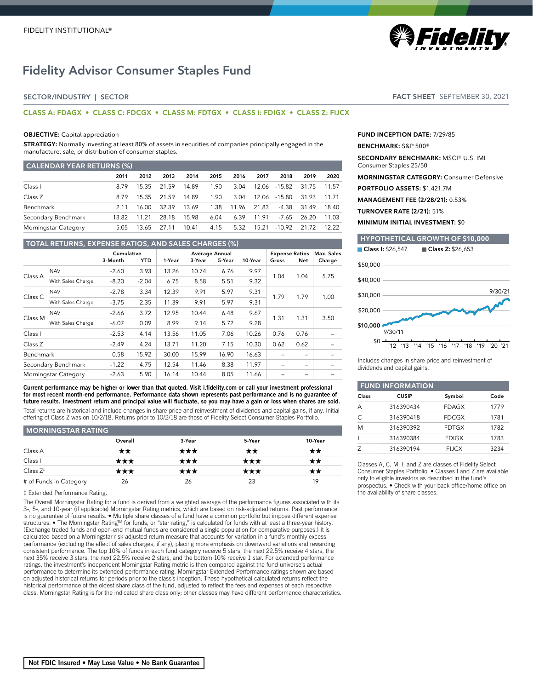# Fidelity Advisor Consumer Staples Fund

# SECTOR/INDUSTRY | SECTOR

# **CLASS A: FDAGX • CLASS C: FDCGX • CLASS M: FDTGX • CLASS I: FDIGX • CLASS Z: FIJCX**

#### **OBJECTIVE:** Capital appreciation

**STRATEGY:** Normally investing at least 80% of assets in securities of companies principally engaged in the manufacture, sale, or distribution of consumer staples.

| <b>CALENDAR YEAR RETURNS (%)</b> |       |       |       |       |      |       |       |              |             |       |
|----------------------------------|-------|-------|-------|-------|------|-------|-------|--------------|-------------|-------|
|                                  | 2011  | 2012  | 2013  | 2014  | 2015 | 2016  | 2017  | 2018         | 2019        | 2020  |
| Class I                          | 8.79  | 15.35 | 21.59 | 14.89 | 1.90 | 3.04  |       | 12.06 -15.82 | 31.75       | 11.57 |
| Class Z                          | 8.79  | 15.35 | 21.59 | 14.89 | 1.90 | 3.04  |       | 12.06 -15.80 | 31.93       | 11.71 |
| Benchmark                        | 2 1 1 | 16.00 | 32.39 | 13.69 | 1.38 | 11.96 | 21.83 | -4.38        | 31.49 18.40 |       |
| Secondary Benchmark              | 13.82 | 11.21 | 28.18 | 15.98 | 6.04 | 6.39  | 11.91 | -7.65        | 26.20       | 11.03 |
| Morningstar Category             | 5.05  | 13.65 | 27.11 | 10.41 | 4.15 | 5.32  | 15.21 | -10.92       | 21.72       | 12.22 |

## **TOTAL RETURNS, EXPENSE RATIOS, AND SALES CHARGES (%)** Cumulative Average Annual Expense Ratios Max. Sales 3-Month YTD 1-Year 3-Year 5-Year 10-Year Gross Net Charge Class A NAV -2.60 3.93 13.26 10.74 6.76 9.97 1.04 1.04 5.75 With Sales Charge  $-8.20$   $-2.04$  6.75 8.58 5.51 9.32 Class C NAV -2.78 3.34 12.39 9.91 5.97 9.31 1.79 1.79 1.00 With Sales Charge  $-3.75$  2.35 11.39 9.91 5.97 9.31 Class M NAV -2.66 3.72 12.95 10.44 6.48 9.67 1.31 1.31 3.50 With Sales Charge  $-6.07$  0.09 8.99 9.14 5.72 9.28 Class I -2.53 4.14 13.56 11.05 7.06 10.26 0.76 0.76 – Class Z -2.49 4.24 13.71 11.20 7.15 10.30 0.62 0.62 – Benchmark 0.58 15.92 30.00 15.99 16.90 16.63 – – – Secondary Benchmark -1.22 4.75 12.54 11.46 8.38 11.97 – – – Morningstar Category -2.63 5.90 16.14 10.44 8.05 11.66 –

Current performance may be higher or lower than that quoted. Visit i.fidelity.com or call your investment professional for most recent month-end performance. Performance data shown represents past performance and is no guarantee of future results. Investment return and principal value will fluctuate, so you may have a gain or loss when shares are sold. Total returns are historical and include changes in share price and reinvestment of dividends and capital gains, if any. Initial

offering of Class Z was on 10/2/18. Returns prior to 10/2/18 are those of Fidelity Select Consumer Staples Portfolio.

# **MORNINGSTAR RATING**

|                        | Overall | 3-Year | 5-Year       | 10-Year |
|------------------------|---------|--------|--------------|---------|
| Class A                | **      | ★★★    | $\star\star$ | **      |
| Class I                | ★★★     | ★★★    | ★★★          | ★★      |
| Class $Z^{\ddagger}$   | ★★★     | ★★★    | ★★★          | ★★      |
| # of Funds in Category | 26      | 26     | 23           | 19      |

#### ‡ Extended Performance Rating.

The Overall Morningstar Rating for a fund is derived from a weighted average of the performance figures associated with its 3-, 5-, and 10-year (if applicable) Morningstar Rating metrics, which are based on risk-adjusted returns. Past performance is no guarantee of future results. • Multiple share classes of a fund have a common portfolio but impose different expense structures. • The Morningstar Rating™ for funds, or "star rating," is calculated for funds with at least a three-year history. (Exchange traded funds and open-end mutual funds are considered a single population for comparative purposes.) It is calculated based on a Morningstar risk-adjusted return measure that accounts for variation in a fund's monthly excess performance (excluding the effect of sales charges, if any), placing more emphasis on downward variations and rewarding consistent performance. The top 10% of funds in each fund category receive 5 stars, the next 22.5% receive 4 stars, the next 35% receive 3 stars, the next 22.5% receive 2 stars, and the bottom 10% receive 1 star. For extended performance ratings, the investment's independent Morningstar Rating metric is then compared against the fund universe's actual performance to determine its extended performance rating. Morningstar Extended Performance ratings shown are based on adjusted historical returns for periods prior to the class's inception. These hypothetical calculated returns reflect the historical performance of the oldest share class of the fund, adjusted to reflect the fees and expenses of each respective class. Morningstar Rating is for the indicated share class only; other classes may have different performance characteristics. FACT SHEET SEPTEMBER 30, 2021

**| Fidelity** 

**FUND INCEPTION DATE:** 7/29/85

#### **BENCHMARK:** S&P 500®

**SECONDARY BENCHMARK:** MSCI® U.S. IMI Consumer Staples 25/50

**MORNINGSTAR CATEGORY:** Consumer Defensive

**PORTFOLIO ASSETS:** \$1,421.7M

**MANAGEMENT FEE (2/28/21):** 0.53%

**TURNOVER RATE (2/21):** 51%

**MINIMUM INITIAL INVESTMENT:** \$0

# **HYPOTHETICAL GROWTH OF \$10,000** Class I: \$26,547 Class Z: \$26,653  $$0 -$ \$10,000 \$20,000 \$30,000 \$40,000 \$50,000 '12 '13 '14 '15 '16 '17 '18 '19 '20 '21 9/30/11  $Q/30/21$

Includes changes in share price and reinvestment of dividends and capital gains.

|           | <b>FUND INFORMATION</b> |              |      |  |  |  |
|-----------|-------------------------|--------------|------|--|--|--|
| Class     | <b>CUSIP</b>            | Symbol       | Code |  |  |  |
| А         | 316390434               | <b>FDAGX</b> | 1779 |  |  |  |
| $\subset$ | 316390418               | <b>FDCGX</b> | 1781 |  |  |  |
| M         | 316390392               | <b>FDTGX</b> | 1782 |  |  |  |
|           | 316390384               | <b>FDIGX</b> | 1783 |  |  |  |
|           | 316390194               | <b>FIJCX</b> | 3234 |  |  |  |

Classes A, C, M, I, and Z are classes of Fidelity Select Consumer Staples Portfolio. • Classes I and Z are available only to eligible investors as described in the fund's prospectus. • Check with your back office/home office on the availability of share classes.